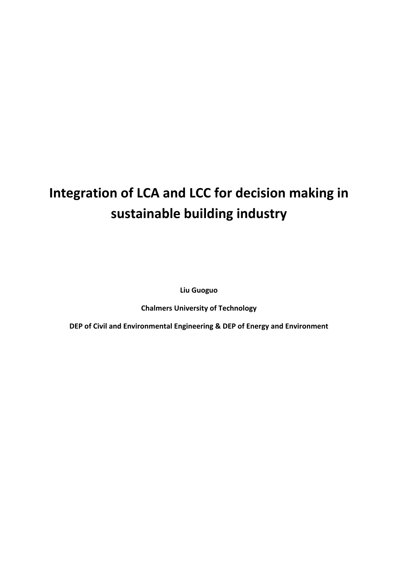# **Integration of LCA and LCC for decision making in sustainable building industry**

**Liu Guoguo**

**Chalmers University of Technology**

**DEP of Civil and Environmental Engineering & DEP of Energy and Environment**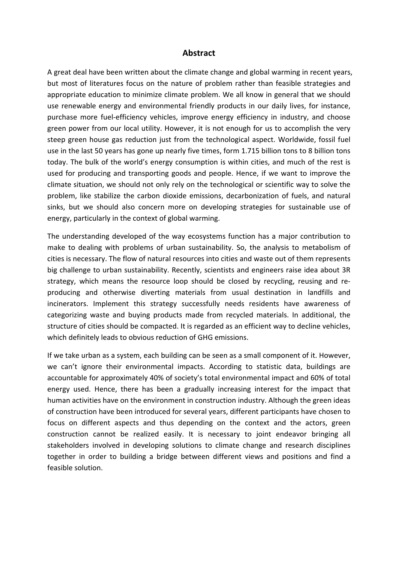#### **Abstract**

A great deal have been written about the climate change and global warming in recent years, but most of literatures focus on the nature of problem rather than feasible strategies and appropriate education to minimize climate problem. We all know in general that we should use renewable energy and environmental friendly products in our daily lives, for instance, purchase more fuel‐efficiency vehicles, improve energy efficiency in industry, and choose green power from our local utility. However, it is not enough for us to accomplish the very steep green house gas reduction just from the technological aspect. Worldwide, fossil fuel use in the last 50 years has gone up nearly five times, form 1.715 billion tons to 8 billion tons today. The bulk of the world's energy consumption is within cities, and much of the rest is used for producing and transporting goods and people. Hence, if we want to improve the climate situation, we should not only rely on the technological or scientific way to solve the problem, like stabilize the carbon dioxide emissions, decarbonization of fuels, and natural sinks, but we should also concern more on developing strategies for sustainable use of energy, particularly in the context of global warming.

The understanding developed of the way ecosystems function has a major contribution to make to dealing with problems of urban sustainability. So, the analysis to metabolism of cities is necessary. The flow of natural resources into cities and waste out of them represents big challenge to urban sustainability. Recently, scientists and engineers raise idea about 3R strategy, which means the resource loop should be closed by recycling, reusing and re‐ producing and otherwise diverting materials from usual destination in landfills and incinerators. Implement this strategy successfully needs residents have awareness of categorizing waste and buying products made from recycled materials. In additional, the structure of cities should be compacted. It is regarded as an efficient way to decline vehicles, which definitely leads to obvious reduction of GHG emissions.

If we take urban as a system, each building can be seen as a small component of it. However, we can't ignore their environmental impacts. According to statistic data, buildings are accountable for approximately 40% of society's total environmental impact and 60% of total energy used. Hence, there has been a gradually increasing interest for the impact that human activities have on the environment in construction industry. Although the green ideas of construction have been introduced for several years, different participants have chosen to focus on different aspects and thus depending on the context and the actors, green construction cannot be realized easily. It is necessary to joint endeavor bringing all stakeholders involved in developing solutions to climate change and research disciplines together in order to building a bridge between different views and positions and find a feasible solution.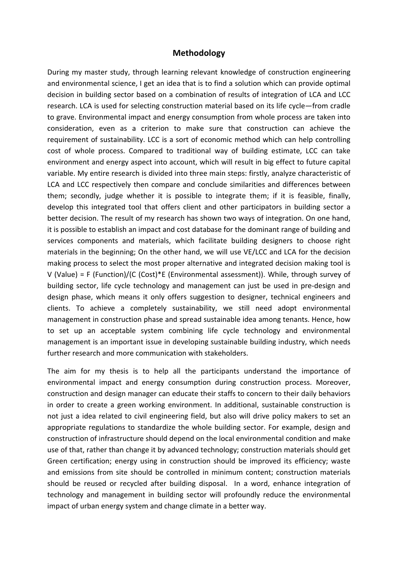#### **Methodology**

During my master study, through learning relevant knowledge of construction engineering and environmental science, I get an idea that is to find a solution which can provide optimal decision in building sector based on a combination of results of integration of LCA and LCC research. LCA is used for selecting construction material based on its life cycle—from cradle to grave. Environmental impact and energy consumption from whole process are taken into consideration, even as a criterion to make sure that construction can achieve the requirement of sustainability. LCC is a sort of economic method which can help controlling cost of whole process. Compared to traditional way of building estimate, LCC can take environment and energy aspect into account, which will result in big effect to future capital variable. My entire research is divided into three main steps: firstly, analyze characteristic of LCA and LCC respectively then compare and conclude similarities and differences between them; secondly, judge whether it is possible to integrate them; if it is feasible, finally, develop this integrated tool that offers client and other participators in building sector a better decision. The result of my research has shown two ways of integration. On one hand, it is possible to establish an impact and cost database for the dominant range of building and services components and materials, which facilitate building designers to choose right materials in the beginning; On the other hand, we will use VE/LCC and LCA for the decision making process to select the most proper alternative and integrated decision making tool is V (Value) = F (Function)/(C (Cost)\*E (Environmental assessment)). While, through survey of building sector, life cycle technology and management can just be used in pre‐design and design phase, which means it only offers suggestion to designer, technical engineers and clients. To achieve a completely sustainability, we still need adopt environmental management in construction phase and spread sustainable idea among tenants. Hence, how to set up an acceptable system combining life cycle technology and environmental management is an important issue in developing sustainable building industry, which needs further research and more communication with stakeholders.

The aim for my thesis is to help all the participants understand the importance of environmental impact and energy consumption during construction process. Moreover, construction and design manager can educate their staffs to concern to their daily behaviors in order to create a green working environment. In additional, sustainable construction is not just a idea related to civil engineering field, but also will drive policy makers to set an appropriate regulations to standardize the whole building sector. For example, design and construction of infrastructure should depend on the local environmental condition and make use of that, rather than change it by advanced technology; construction materials should get Green certification; energy using in construction should be improved its efficiency; waste and emissions from site should be controlled in minimum content; construction materials should be reused or recycled after building disposal. In a word, enhance integration of technology and management in building sector will profoundly reduce the environmental impact of urban energy system and change climate in a better way.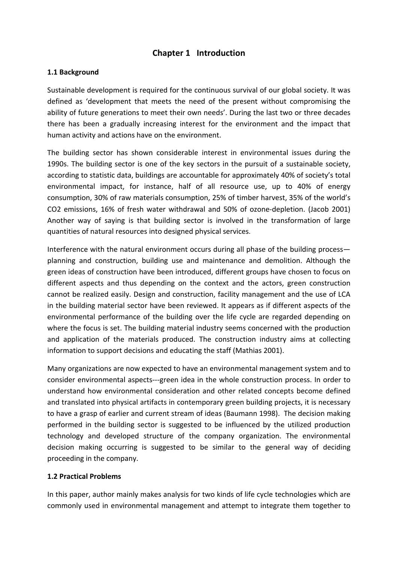# **Chapter 1 Introduction**

#### **1.1 Background**

Sustainable development is required for the continuous survival of our global society. It was defined as 'development that meets the need of the present without compromising the ability of future generations to meet their own needs'. During the last two or three decades there has been a gradually increasing interest for the environment and the impact that human activity and actions have on the environment.

The building sector has shown considerable interest in environmental issues during the 1990s. The building sector is one of the key sectors in the pursuit of a sustainable society, according to statistic data, buildings are accountable for approximately 40% of society's total environmental impact, for instance, half of all resource use, up to 40% of energy consumption, 30% of raw materials consumption, 25% of timber harvest, 35% of the world's CO2 emissions, 16% of fresh water withdrawal and 50% of ozone‐depletion. (Jacob 2001) Another way of saying is that building sector is involved in the transformation of large quantities of natural resources into designed physical services.

Interference with the natural environment occurs during all phase of the building process planning and construction, building use and maintenance and demolition. Although the green ideas of construction have been introduced, different groups have chosen to focus on different aspects and thus depending on the context and the actors, green construction cannot be realized easily. Design and construction, facility management and the use of LCA in the building material sector have been reviewed. It appears as if different aspects of the environmental performance of the building over the life cycle are regarded depending on where the focus is set. The building material industry seems concerned with the production and application of the materials produced. The construction industry aims at collecting information to support decisions and educating the staff (Mathias 2001).

Many organizations are now expected to have an environmental management system and to consider environmental aspects‐‐‐green idea in the whole construction process. In order to understand how environmental consideration and other related concepts become defined and translated into physical artifacts in contemporary green building projects, it is necessary to have a grasp of earlier and current stream of ideas (Baumann 1998). The decision making performed in the building sector is suggested to be influenced by the utilized production technology and developed structure of the company organization. The environmental decision making occurring is suggested to be similar to the general way of deciding proceeding in the company.

#### **1.2 Practical Problems**

In this paper, author mainly makes analysis for two kinds of life cycle technologies which are commonly used in environmental management and attempt to integrate them together to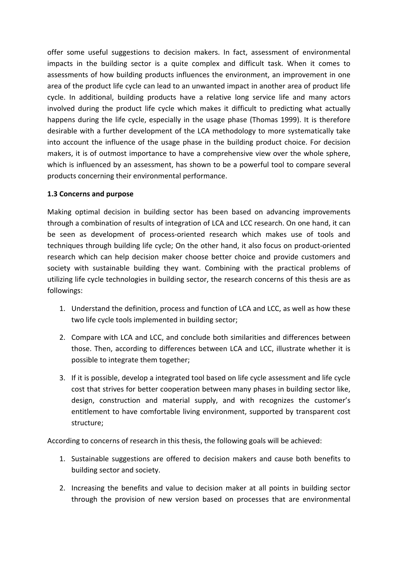offer some useful suggestions to decision makers. In fact, assessment of environmental impacts in the building sector is a quite complex and difficult task. When it comes to assessments of how building products influences the environment, an improvement in one area of the product life cycle can lead to an unwanted impact in another area of product life cycle. In additional, building products have a relative long service life and many actors involved during the product life cycle which makes it difficult to predicting what actually happens during the life cycle, especially in the usage phase (Thomas 1999). It is therefore desirable with a further development of the LCA methodology to more systematically take into account the influence of the usage phase in the building product choice. For decision makers, it is of outmost importance to have a comprehensive view over the whole sphere, which is influenced by an assessment, has shown to be a powerful tool to compare several products concerning their environmental performance.

#### **1.3 Concerns and purpose**

Making optimal decision in building sector has been based on advancing improvements through a combination of results of integration of LCA and LCC research. On one hand, it can be seen as development of process-oriented research which makes use of tools and techniques through building life cycle; On the other hand, it also focus on product‐oriented research which can help decision maker choose better choice and provide customers and society with sustainable building they want. Combining with the practical problems of utilizing life cycle technologies in building sector, the research concerns of this thesis are as followings:

- 1. Understand the definition, process and function of LCA and LCC, as well as how these two life cycle tools implemented in building sector;
- 2. Compare with LCA and LCC, and conclude both similarities and differences between those. Then, according to differences between LCA and LCC, illustrate whether it is possible to integrate them together;
- 3. If it is possible, develop a integrated tool based on life cycle assessment and life cycle cost that strives for better cooperation between many phases in building sector like, design, construction and material supply, and with recognizes the customer's entitlement to have comfortable living environment, supported by transparent cost structure;

According to concerns of research in this thesis, the following goals will be achieved:

- 1. Sustainable suggestions are offered to decision makers and cause both benefits to building sector and society.
- 2. Increasing the benefits and value to decision maker at all points in building sector through the provision of new version based on processes that are environmental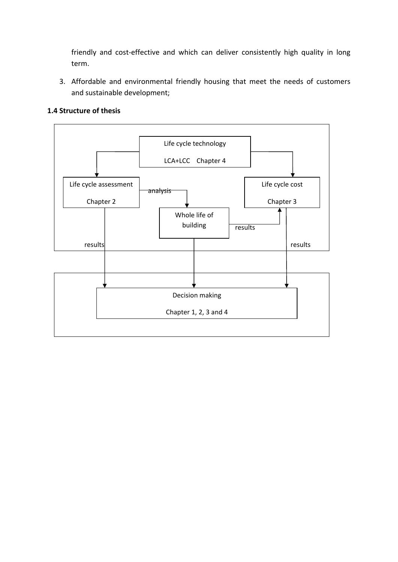friendly and cost-effective and which can deliver consistently high quality in long term.

3. Affordable and environmental friendly housing that meet the needs of customers and sustainable development;

#### **1.4 Structure of thesis**

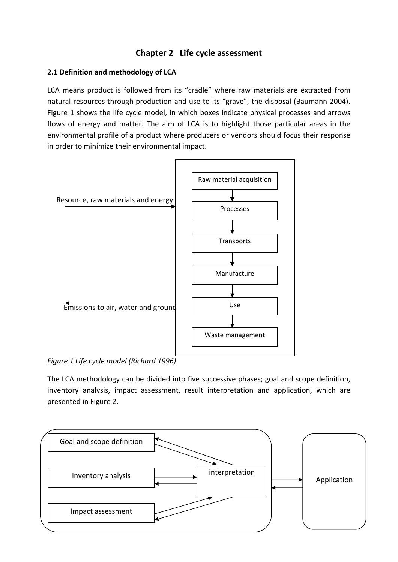# **Chapter 2 Life cycle assessment**

## **2.1 Definition and methodology of LCA**

LCA means product is followed from its "cradle" where raw materials are extracted from natural resources through production and use to its "grave", the disposal (Baumann 2004). Figure 1 shows the life cycle model, in which boxes indicate physical processes and arrows flows of energy and matter. The aim of LCA is to highlight those particular areas in the environmental profile of a product where producers or vendors should focus their response in order to minimize their environmental impact.



*Figure 1 Life cycle model (Richard 1996)*

The LCA methodology can be divided into five successive phases; goal and scope definition, inventory analysis, impact assessment, result interpretation and application, which are presented in Figure 2.

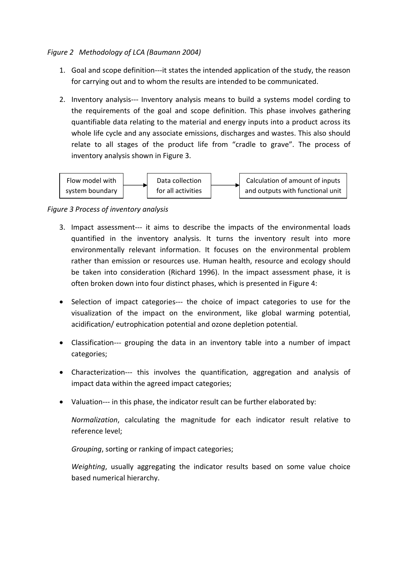#### *Figure 2 Methodology of LCA (Baumann 2004)*

- 1. Goal and scope definition---it states the intended application of the study, the reason for carrying out and to whom the results are intended to be communicated.
- 2. Inventory analysis‐‐‐ Inventory analysis means to build a systems model cording to the requirements of the goal and scope definition. This phase involves gathering quantifiable data relating to the material and energy inputs into a product across its whole life cycle and any associate emissions, discharges and wastes. This also should relate to all stages of the product life from "cradle to grave". The process of inventory analysis shown in Figure 3.



#### *Figure 3 Process of inventory analysis*

- 3. Impact assessment‐‐‐ it aims to describe the impacts of the environmental loads quantified in the inventory analysis. It turns the inventory result into more environmentally relevant information. It focuses on the environmental problem rather than emission or resources use. Human health, resource and ecology should be taken into consideration (Richard 1996). In the impact assessment phase, it is often broken down into four distinct phases, which is presented in Figure 4:
- Selection of impact categories--- the choice of impact categories to use for the visualization of the impact on the environment, like global warming potential, acidification/ eutrophication potential and ozone depletion potential.
- Classification‐‐‐ grouping the data in an inventory table into a number of impact categories;
- Characterization‐‐‐ this involves the quantification, aggregation and analysis of impact data within the agreed impact categories;
- Valuation--- in this phase, the indicator result can be further elaborated by:

*Normalization*, calculating the magnitude for each indicator result relative to reference level;

*Grouping*, sorting or ranking of impact categories;

*Weighting*, usually aggregating the indicator results based on some value choice based numerical hierarchy.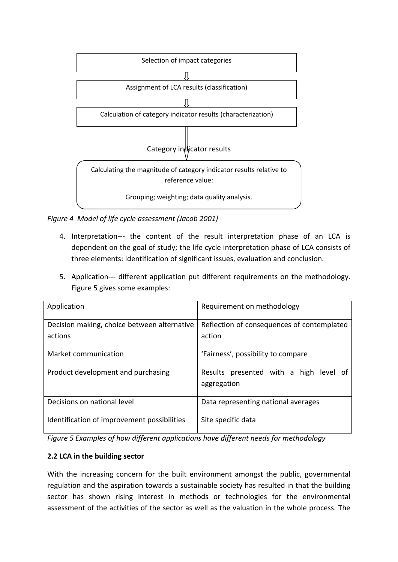

*Figure 4 Model of life cycle assessment (Jacob 2001)*

- 4. Interpretation--- the content of the result interpretation phase of an LCA is dependent on the goal of study; the life cycle interpretation phase of LCA consists of three elements: Identification of significant issues, evaluation and conclusion.
- 5. Application--- different application put different requirements on the methodology. Figure 5 gives some examples:

| Application                                 | Requirement on methodology                            |  |  |  |
|---------------------------------------------|-------------------------------------------------------|--|--|--|
| Decision making, choice between alternative | Reflection of consequences of contemplated            |  |  |  |
| actions                                     | action                                                |  |  |  |
| Market communication                        | 'Fairness', possibility to compare                    |  |  |  |
| Product development and purchasing          | Results presented with a high level of<br>aggregation |  |  |  |
| Decisions on national level                 | Data representing national averages                   |  |  |  |
| Identification of improvement possibilities | Site specific data                                    |  |  |  |

*Figure 5 Examples of how different applications have different needs for methodology*

#### **2.2 LCA in the building sector**

With the increasing concern for the built environment amongst the public, governmental regulation and the aspiration towards a sustainable society has resulted in that the building sector has shown rising interest in methods or technologies for the environmental assessment of the activities of the sector as well as the valuation in the whole process. The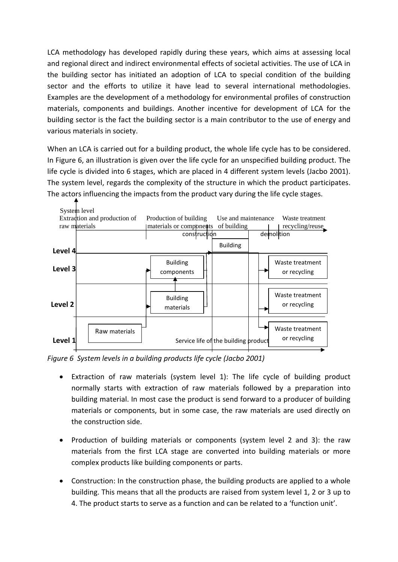LCA methodology has developed rapidly during these years, which aims at assessing local and regional direct and indirect environmental effects of societal activities. The use of LCA in the building sector has initiated an adoption of LCA to special condition of the building sector and the efforts to utilize it have lead to several international methodologies. Examples are the development of a methodology for environmental profiles of construction materials, components and buildings. Another incentive for development of LCA for the building sector is the fact the building sector is a main contributor to the use of energy and various materials in society.

When an LCA is carried out for a building product, the whole life cycle has to be considered. In Figure 6, an illustration is given over the life cycle for an unspecified building product. The life cycle is divided into 6 stages, which are placed in 4 different system levels (Jacbo 2001). The system level, regards the complexity of the structure in which the product participates. The actors influencing the impacts from the product vary during the life cycle stages.



*Figure 6 System levels in a building products life cycle (Jacbo 2001)*

- Extraction of raw materials (system level 1): The life cycle of building product normally starts with extraction of raw materials followed by a preparation into building material. In most case the product is send forward to a producer of building materials or components, but in some case, the raw materials are used directly on the construction side.
- Production of building materials or components (system level 2 and 3): the raw materials from the first LCA stage are converted into building materials or more complex products like building components or parts.
- Construction: In the construction phase, the building products are applied to a whole building. This means that all the products are raised from system level 1, 2 or 3 up to 4. The product starts to serve as a function and can be related to a 'function unit'.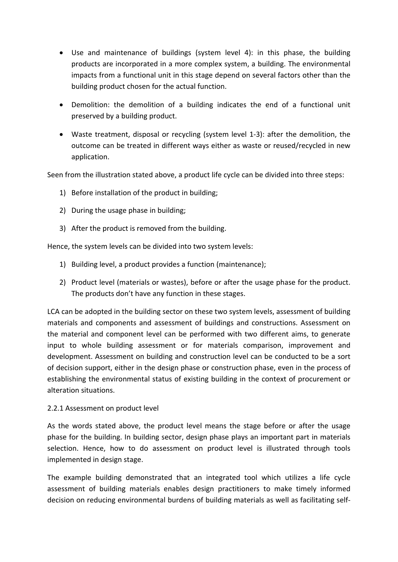- Use and maintenance of buildings (system level 4): in this phase, the building products are incorporated in a more complex system, a building. The environmental impacts from a functional unit in this stage depend on several factors other than the building product chosen for the actual function.
- Demolition: the demolition of a building indicates the end of a functional unit preserved by a building product.
- Waste treatment, disposal or recycling (system level 1‐3): after the demolition, the outcome can be treated in different ways either as waste or reused/recycled in new application.

Seen from the illustration stated above, a product life cycle can be divided into three steps:

- 1) Before installation of the product in building;
- 2) During the usage phase in building;
- 3) After the product is removed from the building.

Hence, the system levels can be divided into two system levels:

- 1) Building level, a product provides a function (maintenance);
- 2) Product level (materials or wastes), before or after the usage phase for the product. The products don't have any function in these stages.

LCA can be adopted in the building sector on these two system levels, assessment of building materials and components and assessment of buildings and constructions. Assessment on the material and component level can be performed with two different aims, to generate input to whole building assessment or for materials comparison, improvement and development. Assessment on building and construction level can be conducted to be a sort of decision support, either in the design phase or construction phase, even in the process of establishing the environmental status of existing building in the context of procurement or alteration situations.

#### 2.2.1 Assessment on product level

As the words stated above, the product level means the stage before or after the usage phase for the building. In building sector, design phase plays an important part in materials selection. Hence, how to do assessment on product level is illustrated through tools implemented in design stage.

The example building demonstrated that an integrated tool which utilizes a life cycle assessment of building materials enables design practitioners to make timely informed decision on reducing environmental burdens of building materials as well as facilitating self‐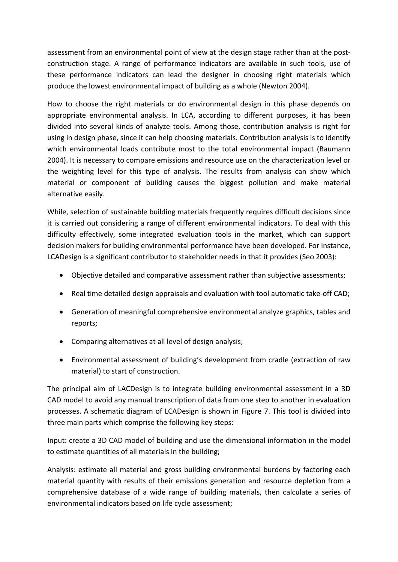assessment from an environmental point of view at the design stage rather than at the post‐ construction stage. A range of performance indicators are available in such tools, use of these performance indicators can lead the designer in choosing right materials which produce the lowest environmental impact of building as a whole (Newton 2004).

How to choose the right materials or do environmental design in this phase depends on appropriate environmental analysis. In LCA, according to different purposes, it has been divided into several kinds of analyze tools. Among those, contribution analysis is right for using in design phase, since it can help choosing materials. Contribution analysis is to identify which environmental loads contribute most to the total environmental impact (Baumann 2004). It is necessary to compare emissions and resource use on the characterization level or the weighting level for this type of analysis. The results from analysis can show which material or component of building causes the biggest pollution and make material alternative easily.

While, selection of sustainable building materials frequently requires difficult decisions since it is carried out considering a range of different environmental indicators. To deal with this difficulty effectively, some integrated evaluation tools in the market, which can support decision makers for building environmental performance have been developed. For instance, LCADesign is a significant contributor to stakeholder needs in that it provides (Seo 2003):

- Objective detailed and comparative assessment rather than subjective assessments;
- Real time detailed design appraisals and evaluation with tool automatic take-off CAD;
- Generation of meaningful comprehensive environmental analyze graphics, tables and reports;
- Comparing alternatives at all level of design analysis;
- Environmental assessment of building's development from cradle (extraction of raw material) to start of construction.

The principal aim of LACDesign is to integrate building environmental assessment in a 3D CAD model to avoid any manual transcription of data from one step to another in evaluation processes. A schematic diagram of LCADesign is shown in Figure 7. This tool is divided into three main parts which comprise the following key steps:

Input: create a 3D CAD model of building and use the dimensional information in the model to estimate quantities of all materials in the building;

Analysis: estimate all material and gross building environmental burdens by factoring each material quantity with results of their emissions generation and resource depletion from a comprehensive database of a wide range of building materials, then calculate a series of environmental indicators based on life cycle assessment;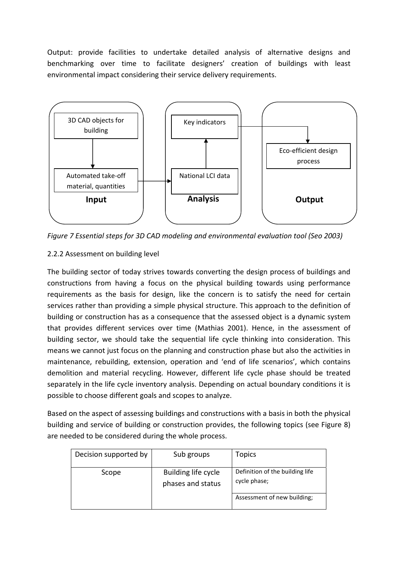Output: provide facilities to undertake detailed analysis of alternative designs and benchmarking over time to facilitate designers' creation of buildings with least environmental impact considering their service delivery requirements.



*Figure 7 Essential steps for 3D CAD modeling and environmental evaluation tool (Seo 2003)*

# 2.2.2 Assessment on building level

The building sector of today strives towards converting the design process of buildings and constructions from having a focus on the physical building towards using performance requirements as the basis for design, like the concern is to satisfy the need for certain services rather than providing a simple physical structure. This approach to the definition of building or construction has as a consequence that the assessed object is a dynamic system that provides different services over time (Mathias 2001). Hence, in the assessment of building sector, we should take the sequential life cycle thinking into consideration. This means we cannot just focus on the planning and construction phase but also the activities in maintenance, rebuilding, extension, operation and 'end of life scenarios', which contains demolition and material recycling. However, different life cycle phase should be treated separately in the life cycle inventory analysis. Depending on actual boundary conditions it is possible to choose different goals and scopes to analyze.

Based on the aspect of assessing buildings and constructions with a basis in both the physical building and service of building or construction provides, the following topics (see Figure 8) are needed to be considered during the whole process.

| Decision supported by | Sub groups                               | <b>Topics</b>                                   |
|-----------------------|------------------------------------------|-------------------------------------------------|
| Scope                 | Building life cycle<br>phases and status | Definition of the building life<br>cycle phase; |
|                       |                                          | Assessment of new building;                     |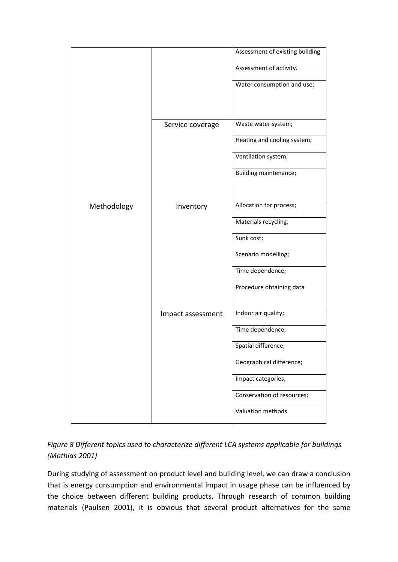|             |                   | Assessment of existing building |
|-------------|-------------------|---------------------------------|
|             |                   | Assessment of activity.         |
|             |                   | Water consumption and use;      |
|             |                   |                                 |
|             | Service coverage  | Waste water system;             |
|             |                   | Heating and cooling system;     |
|             |                   |                                 |
|             |                   | Ventilation system;             |
|             |                   | Building maintenance;           |
|             |                   |                                 |
| Methodology | Inventory         | Allocation for process;         |
|             |                   | Materials recycling;            |
|             |                   | Sunk cost;                      |
|             |                   | Scenario modelling;             |
|             |                   | Time dependence;                |
|             |                   | Procedure obtaining data        |
|             | Impact assessment | Indoor air quality;             |
|             |                   | Time dependence;                |
|             |                   | Spatial difference;             |
|             |                   | Geographical difference;        |
|             |                   | Impact categories;              |
|             |                   | Conservation of resources;      |
|             |                   | Valuation methods               |

# *Figure 8 Different topics used to characterize different LCA systems applicable for buildings (Mathias 2001)*

During studying of assessment on product level and building level, we can draw a conclusion that is energy consumption and environmental impact in usage phase can be influenced by the choice between different building products. Through research of common building materials (Paulsen 2001), it is obvious that several product alternatives for the same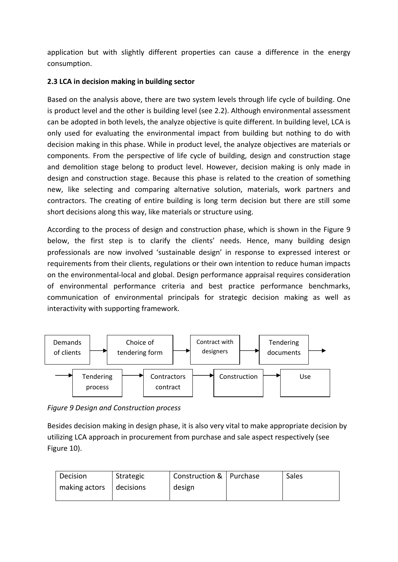application but with slightly different properties can cause a difference in the energy consumption.

## **2.3 LCA in decision making in building sector**

Based on the analysis above, there are two system levels through life cycle of building. One is product level and the other is building level (see 2.2). Although environmental assessment can be adopted in both levels, the analyze objective is quite different. In building level, LCA is only used for evaluating the environmental impact from building but nothing to do with decision making in this phase. While in product level, the analyze objectives are materials or components. From the perspective of life cycle of building, design and construction stage and demolition stage belong to product level. However, decision making is only made in design and construction stage. Because this phase is related to the creation of something new, like selecting and comparing alternative solution, materials, work partners and contractors. The creating of entire building is long term decision but there are still some short decisions along this way, like materials or structure using.

According to the process of design and construction phase, which is shown in the Figure 9 below, the first step is to clarify the clients' needs. Hence, many building design professionals are now involved 'sustainable design' in response to expressed interest or requirements from their clients, regulations or their own intention to reduce human impacts on the environmental‐local and global. Design performance appraisal requires consideration of environmental performance criteria and best practice performance benchmarks, communication of environmental principals for strategic decision making as well as interactivity with supporting framework.



*Figure 9 Design and Construction process* 

Besides decision making in design phase, it is also very vital to make appropriate decision by utilizing LCA approach in procurement from purchase and sale aspect respectively (see Figure 10).

| Decision      | Strategic | Construction &   Purchase | Sales |
|---------------|-----------|---------------------------|-------|
| making actors | decisions | design                    |       |
|               |           |                           |       |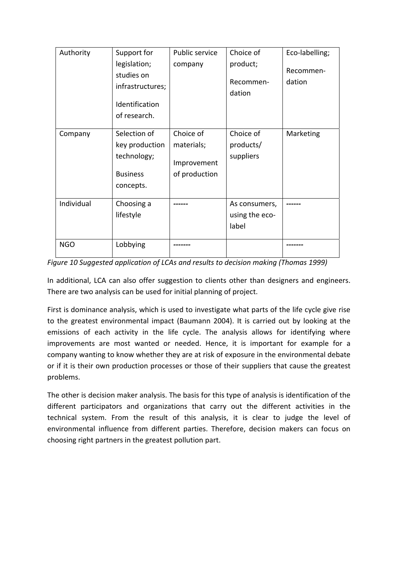| Authority  | Support for<br>legislation;<br>studies on<br>infrastructures;<br>Identification<br>of research. | Public service<br>company                               | Choice of<br>product;<br>Recommen-<br>dation | Eco-labelling;<br>Recommen-<br>dation |
|------------|-------------------------------------------------------------------------------------------------|---------------------------------------------------------|----------------------------------------------|---------------------------------------|
| Company    | Selection of<br>key production<br>technology;<br><b>Business</b><br>concepts.                   | Choice of<br>materials;<br>Improvement<br>of production | Choice of<br>products/<br>suppliers          | Marketing                             |
| Individual | Choosing a<br>lifestyle                                                                         |                                                         | As consumers,<br>using the eco-<br>label     |                                       |
| <b>NGO</b> | Lobbying                                                                                        |                                                         |                                              |                                       |

*Figure 10 Suggested application of LCAs and results to decision making (Thomas 1999)*

In additional, LCA can also offer suggestion to clients other than designers and engineers. There are two analysis can be used for initial planning of project.

First is dominance analysis, which is used to investigate what parts of the life cycle give rise to the greatest environmental impact (Baumann 2004). It is carried out by looking at the emissions of each activity in the life cycle. The analysis allows for identifying where improvements are most wanted or needed. Hence, it is important for example for a company wanting to know whether they are at risk of exposure in the environmental debate or if it is their own production processes or those of their suppliers that cause the greatest problems.

The other is decision maker analysis. The basis for this type of analysis is identification of the different participators and organizations that carry out the different activities in the technical system. From the result of this analysis, it is clear to judge the level of environmental influence from different parties. Therefore, decision makers can focus on choosing right partners in the greatest pollution part.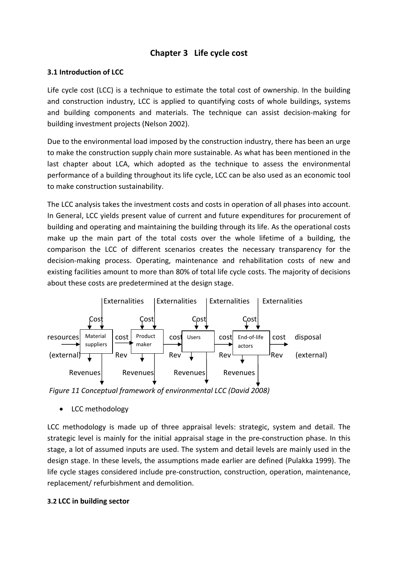# **Chapter 3 Life cycle cost**

#### **3.1 Introduction of LCC**

Life cycle cost (LCC) is a technique to estimate the total cost of ownership. In the building and construction industry, LCC is applied to quantifying costs of whole buildings, systems and building components and materials. The technique can assist decision‐making for building investment projects (Nelson 2002).

Due to the environmental load imposed by the construction industry, there has been an urge to make the construction supply chain more sustainable. As what has been mentioned in the last chapter about LCA, which adopted as the technique to assess the environmental performance of a building throughout its life cycle, LCC can be also used as an economic tool to make construction sustainability.

The LCC analysis takes the investment costs and costs in operation of all phases into account. In General, LCC yields present value of current and future expenditures for procurement of building and operating and maintaining the building through its life. As the operational costs make up the main part of the total costs over the whole lifetime of a building, the comparison the LCC of different scenarios creates the necessary transparency for the decision‐making process. Operating, maintenance and rehabilitation costs of new and existing facilities amount to more than 80% of total life cycle costs. The majority of decisions about these costs are predetermined at the design stage.



*Figure 11 Conceptual framework of environmental LCC (David 2008)*

• LCC methodology

LCC methodology is made up of three appraisal levels: strategic, system and detail. The strategic level is mainly for the initial appraisal stage in the pre‐construction phase. In this stage, a lot of assumed inputs are used. The system and detail levels are mainly used in the design stage. In these levels, the assumptions made earlier are defined (Pulakka 1999). The life cycle stages considered include pre‐construction, construction, operation, maintenance, replacement/ refurbishment and demolition.

#### **3.2 LCC in building sector**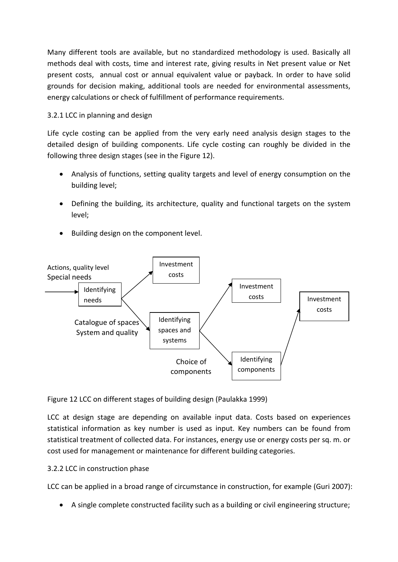Many different tools are available, but no standardized methodology is used. Basically all methods deal with costs, time and interest rate, giving results in Net present value or Net present costs, annual cost or annual equivalent value or payback. In order to have solid grounds for decision making, additional tools are needed for environmental assessments, energy calculations or check of fulfillment of performance requirements.

## 3.2.1 LCC in planning and design

Life cycle costing can be applied from the very early need analysis design stages to the detailed design of building components. Life cycle costing can roughly be divided in the following three design stages (see in the Figure 12).

- Analysis of functions, setting quality targets and level of energy consumption on the building level;
- Defining the building, its architecture, quality and functional targets on the system level;
- Building design on the component level.



Figure 12 LCC on different stages of building design (Paulakka 1999)

LCC at design stage are depending on available input data. Costs based on experiences statistical information as key number is used as input. Key numbers can be found from statistical treatment of collected data. For instances, energy use or energy costs per sq. m. or cost used for management or maintenance for different building categories.

#### 3.2.2 LCC in construction phase

LCC can be applied in a broad range of circumstance in construction, for example (Guri 2007):

A single complete constructed facility such as a building or civil engineering structure;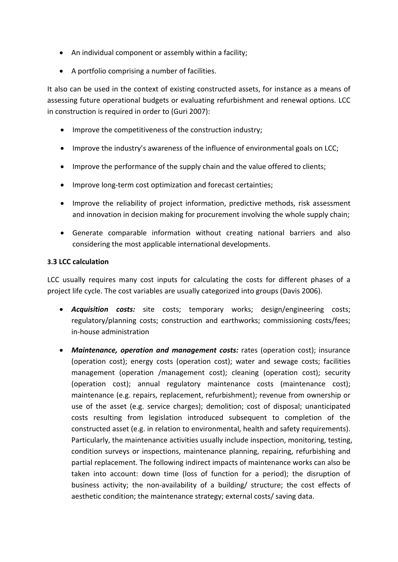- An individual component or assembly within a facility;
- A portfolio comprising a number of facilities.

It also can be used in the context of existing constructed assets, for instance as a means of assessing future operational budgets or evaluating refurbishment and renewal options. LCC in construction is required in order to (Guri 2007):

- Improve the competitiveness of the construction industry;
- Improve the industry's awareness of the influence of environmental goals on LCC;
- Improve the performance of the supply chain and the value offered to clients;
- Improve long‐term cost optimization and forecast certainties;
- Improve the reliability of project information, predictive methods, risk assessment and innovation in decision making for procurement involving the whole supply chain;
- Generate comparable information without creating national barriers and also considering the most applicable international developments.

#### **3.3 LCC calculation**

LCC usually requires many cost inputs for calculating the costs for different phases of a project life cycle. The cost variables are usually categorized into groups (Davis 2006).

- *Acquisition costs:* site costs; temporary works; design/engineering costs; regulatory/planning costs; construction and earthworks; commissioning costs/fees; in‐house administration
- *Maintenance, operation and management costs:* rates (operation cost); insurance (operation cost); energy costs (operation cost); water and sewage costs; facilities management (operation /management cost); cleaning (operation cost); security (operation cost); annual regulatory maintenance costs (maintenance cost); maintenance (e.g. repairs, replacement, refurbishment); revenue from ownership or use of the asset (e.g. service charges); demolition; cost of disposal; unanticipated costs resulting from legislation introduced subsequent to completion of the constructed asset (e.g. in relation to environmental, health and safety requirements). Particularly, the maintenance activities usually include inspection, monitoring, testing, condition surveys or inspections, maintenance planning, repairing, refurbishing and partial replacement. The following indirect impacts of maintenance works can also be taken into account: down time (loss of function for a period); the disruption of business activity; the non‐availability of a building/ structure; the cost effects of aesthetic condition; the maintenance strategy; external costs/ saving data.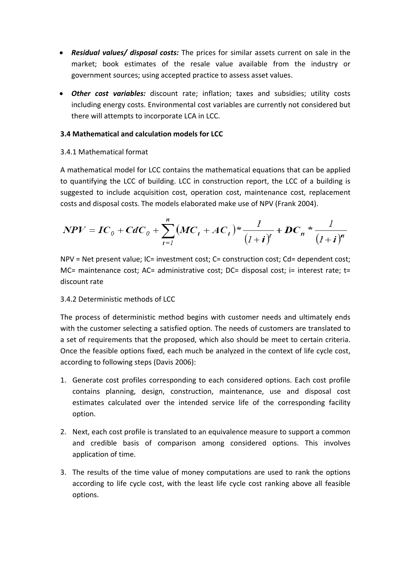- *Residual values/ disposal costs:* The prices for similar assets current on sale in the market; book estimates of the resale value available from the industry or government sources; using accepted practice to assess asset values.
- *Other cost variables:* discount rate; inflation; taxes and subsidies; utility costs including energy costs. Environmental cost variables are currently not considered but there will attempts to incorporate LCA in LCC.

#### **3.4 Mathematical and calculation models for LCC**

#### 3.4.1 Mathematical format

A mathematical model for LCC contains the mathematical equations that can be applied to quantifying the LCC of building. LCC in construction report, the LCC of a building is suggested to include acquisition cost, operation cost, maintenance cost, replacement costs and disposal costs. The models elaborated make use of NPV (Frank 2004).

$$
NPV = IC_0 + CdC_0 + \sum_{t=1}^{n} (MC_t + AC_t)^* \frac{1}{(1+i)^t} + DC_n * \frac{1}{(1+i)^n}
$$

NPV = Net present value; IC= investment cost; C= construction cost; Cd= dependent cost; MC= maintenance cost; AC= administrative cost; DC= disposal cost; i= interest rate; t= discount rate

#### 3.4.2 Deterministic methods of LCC

The process of deterministic method begins with customer needs and ultimately ends with the customer selecting a satisfied option. The needs of customers are translated to a set of requirements that the proposed, which also should be meet to certain criteria. Once the feasible options fixed, each much be analyzed in the context of life cycle cost, according to following steps (Davis 2006):

- 1. Generate cost profiles corresponding to each considered options. Each cost profile contains planning, design, construction, maintenance, use and disposal cost estimates calculated over the intended service life of the corresponding facility option.
- 2. Next, each cost profile is translated to an equivalence measure to support a common and credible basis of comparison among considered options. This involves application of time.
- 3. The results of the time value of money computations are used to rank the options according to life cycle cost, with the least life cycle cost ranking above all feasible options.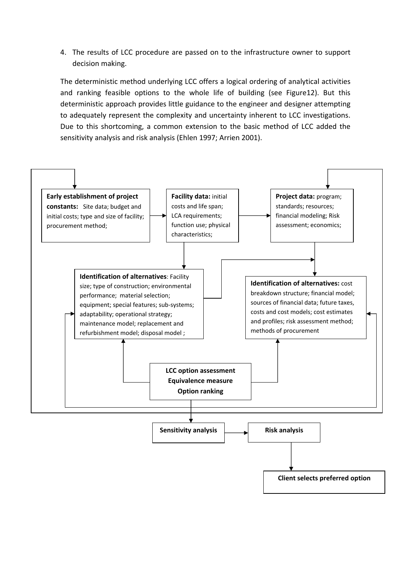4. The results of LCC procedure are passed on to the infrastructure owner to support decision making.

The deterministic method underlying LCC offers a logical ordering of analytical activities and ranking feasible options to the whole life of building (see Figure12). But this deterministic approach provides little guidance to the engineer and designer attempting to adequately represent the complexity and uncertainty inherent to LCC investigations. Due to this shortcoming, a common extension to the basic method of LCC added the sensitivity analysis and risk analysis (Ehlen 1997; Arrien 2001).

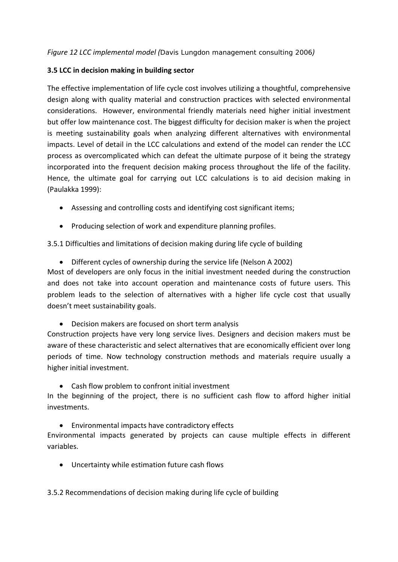#### **3.5 LCC in decision making in building sector**

The effective implementation of life cycle cost involves utilizing a thoughtful, comprehensive design along with quality material and construction practices with selected environmental considerations. However, environmental friendly materials need higher initial investment but offer low maintenance cost. The biggest difficulty for decision maker is when the project is meeting sustainability goals when analyzing different alternatives with environmental impacts. Level of detail in the LCC calculations and extend of the model can render the LCC process as overcomplicated which can defeat the ultimate purpose of it being the strategy incorporated into the frequent decision making process throughout the life of the facility. Hence, the ultimate goal for carrying out LCC calculations is to aid decision making in (Paulakka 1999):

- Assessing and controlling costs and identifying cost significant items;
- Producing selection of work and expenditure planning profiles.

3.5.1 Difficulties and limitations of decision making during life cycle of building

Different cycles of ownership during the service life (Nelson A 2002)

Most of developers are only focus in the initial investment needed during the construction and does not take into account operation and maintenance costs of future users. This problem leads to the selection of alternatives with a higher life cycle cost that usually doesn't meet sustainability goals.

Decision makers are focused on short term analysis

Construction projects have very long service lives. Designers and decision makers must be aware of these characteristic and select alternatives that are economically efficient over long periods of time. Now technology construction methods and materials require usually a higher initial investment.

Cash flow problem to confront initial investment

In the beginning of the project, there is no sufficient cash flow to afford higher initial investments.

Environmental impacts have contradictory effects

Environmental impacts generated by projects can cause multiple effects in different variables.

Uncertainty while estimation future cash flows

3.5.2 Recommendations of decision making during life cycle of building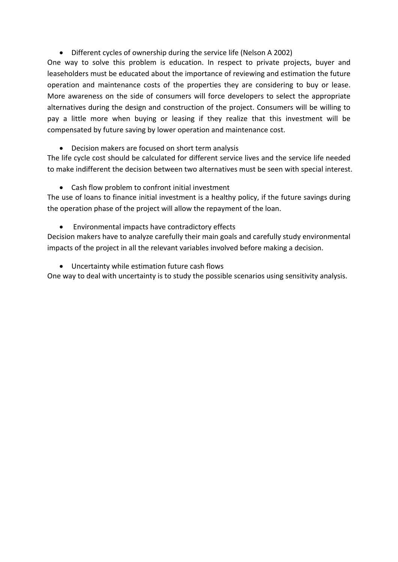Different cycles of ownership during the service life (Nelson A 2002)

One way to solve this problem is education. In respect to private projects, buyer and leaseholders must be educated about the importance of reviewing and estimation the future operation and maintenance costs of the properties they are considering to buy or lease. More awareness on the side of consumers will force developers to select the appropriate alternatives during the design and construction of the project. Consumers will be willing to pay a little more when buying or leasing if they realize that this investment will be compensated by future saving by lower operation and maintenance cost.

Decision makers are focused on short term analysis

The life cycle cost should be calculated for different service lives and the service life needed to make indifferent the decision between two alternatives must be seen with special interest.

Cash flow problem to confront initial investment

The use of loans to finance initial investment is a healthy policy, if the future savings during the operation phase of the project will allow the repayment of the loan.

Environmental impacts have contradictory effects

Decision makers have to analyze carefully their main goals and carefully study environmental impacts of the project in all the relevant variables involved before making a decision.

Uncertainty while estimation future cash flows

One way to deal with uncertainty is to study the possible scenarios using sensitivity analysis.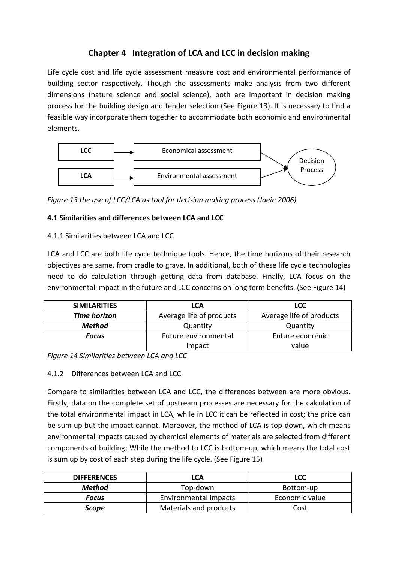# **Chapter 4 Integration of LCA and LCC in decision making**

Life cycle cost and life cycle assessment measure cost and environmental performance of building sector respectively. Though the assessments make analysis from two different dimensions (nature science and social science), both are important in decision making process for the building design and tender selection (See Figure 13). It is necessary to find a feasible way incorporate them together to accommodate both economic and environmental elements.



*Figure 13 the use of LCC/LCA as tool for decision making process (Jaein 2006)*

# **4.1 Similarities and differences between LCA and LCC**

## 4.1.1 Similarities between LCA and LCC

LCA and LCC are both life cycle technique tools. Hence, the time horizons of their research objectives are same, from cradle to grave. In additional, both of these life cycle technologies need to do calculation through getting data from database. Finally, LCA focus on the environmental impact in the future and LCC concerns on long term benefits. (See Figure 14)

| <b>SIMILARITIES</b> | <b>LCA</b>               | <b>LCC</b>               |  |  |
|---------------------|--------------------------|--------------------------|--|--|
| <b>Time horizon</b> | Average life of products | Average life of products |  |  |
| <b>Method</b>       | Quantity                 | Quantity                 |  |  |
| <b>Focus</b>        | Future environmental     | Future economic          |  |  |
|                     | impact                   | value                    |  |  |

*Figure 14 Similarities between LCA and LCC*

# 4.1.2 Differences between LCA and LCC

Compare to similarities between LCA and LCC, the differences between are more obvious. Firstly, data on the complete set of upstream processes are necessary for the calculation of the total environmental impact in LCA, while in LCC it can be reflected in cost; the price can be sum up but the impact cannot. Moreover, the method of LCA is top-down, which means environmental impacts caused by chemical elements of materials are selected from different components of building; While the method to LCC is bottom‐up, which means the total cost is sum up by cost of each step during the life cycle. (See Figure 15)

| <b>DIFFERENCES</b> | LCA                    | <b>LCC</b>     |
|--------------------|------------------------|----------------|
| <b>Method</b>      | Top-down               | Bottom-up      |
| <b>Focus</b>       | Environmental impacts  | Economic value |
| Scope              | Materials and products | Cost           |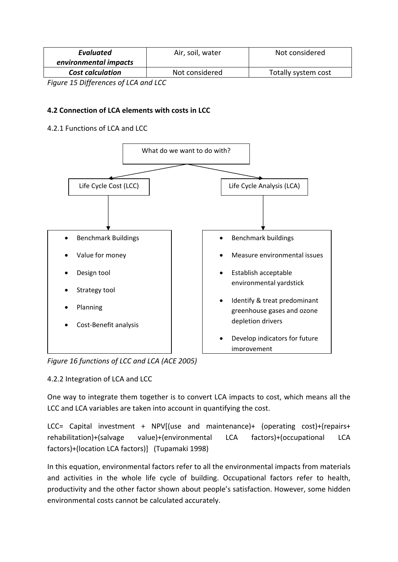| <b>Evaluated</b>                           | Air, soil, water | Not considered      |
|--------------------------------------------|------------------|---------------------|
| environmental impacts                      |                  |                     |
| <b>Cost calculation</b>                    | Not considered   | Totally system cost |
| $- - - - -$<br>$\sim$ $\sim$ $\sim$<br>- - | .                |                     |

*Figure 15 Differences of LCA and LCC*

## **4.2 Connection of LCA elements with costs in LCC**

#### 4.2.1 Functions of LCA and LCC



*Figure 16 functions of LCC and LCA (ACE 2005)*

#### 4.2.2 Integration of LCA and LCC

One way to integrate them together is to convert LCA impacts to cost, which means all the LCC and LCA variables are taken into account in quantifying the cost.

LCC= Capital investment + NPV[(use and maintenance)+ (operating cost)+(repairs+ rehabilitation)+(salvage value)+(environmental LCA factors)+(occupational LCA factors)+(location LCA factors)] (Tupamaki 1998)

In this equation, environmental factors refer to all the environmental impacts from materials and activities in the whole life cycle of building. Occupational factors refer to health, productivity and the other factor shown about people's satisfaction. However, some hidden environmental costs cannot be calculated accurately.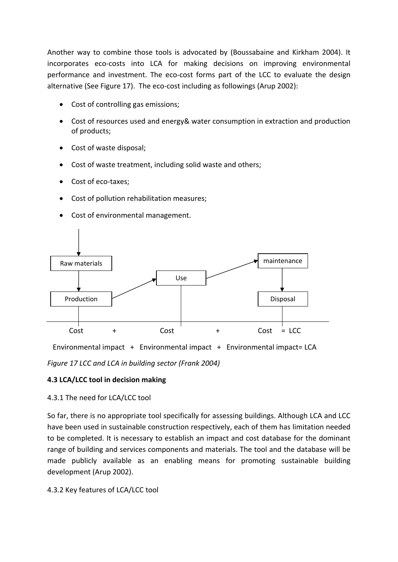Another way to combine those tools is advocated by (Boussabaine and Kirkham 2004). It incorporates eco-costs into LCA for making decisions on improving environmental performance and investment. The eco‐cost forms part of the LCC to evaluate the design alternative (See Figure 17). The eco-cost including as followings (Arup 2002):

- Cost of controlling gas emissions;
- Cost of resources used and energy& water consumption in extraction and production of products;
- Cost of waste disposal;
- Cost of waste treatment, including solid waste and others;
- Cost of eco-taxes;
- Cost of pollution rehabilitation measures;
- Cost of environmental management.



Environmental impact + Environmental impact + Environmental impact= LCA

*Figure 17 LCC and LCA in building sector (Frank 2004)*

#### **4.3 LCA/LCC tool in decision making**

#### 4.3.1 The need for LCA/LCC tool

So far, there is no appropriate tool specifically for assessing buildings. Although LCA and LCC have been used in sustainable construction respectively, each of them has limitation needed to be completed. It is necessary to establish an impact and cost database for the dominant range of building and services components and materials. The tool and the database will be made publicly available as an enabling means for promoting sustainable building development (Arup 2002).

#### 4.3.2 Key features of LCA/LCC tool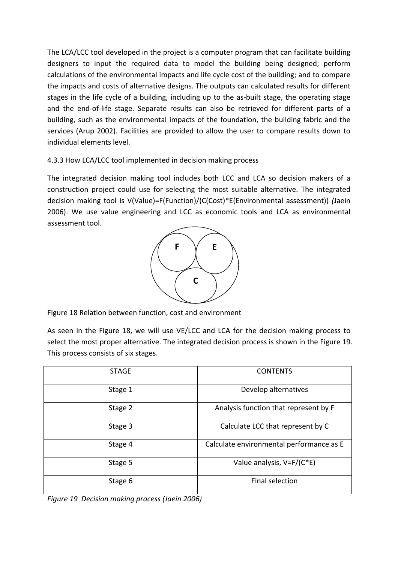The LCA/LCC tool developed in the project is a computer program that can facilitate building designers to input the required data to model the building being designed; perform calculations of the environmental impacts and life cycle cost of the building; and to compare the impacts and costs of alternative designs. The outputs can calculated results for different stages in the life cycle of a building, including up to the as-built stage, the operating stage and the end‐of‐life stage. Separate results can also be retrieved for different parts of a building, such as the environmental impacts of the foundation, the building fabric and the services (Arup 2002). Facilities are provided to allow the user to compare results down to individual elements level.

## 4.3.3 How LCA/LCC tool implemented in decision making process

The integrated decision making tool includes both LCC and LCA so decision makers of a construction project could use for selecting the most suitable alternative. The integrated decision making tool is V(Value)=F(Function)/(C(Cost)\*E(Environmental assessment)) *(*Jaein 2006). We use value engineering and LCC as economic tools and LCA as environmental assessment tool.



Figure 18 Relation between function, cost and environment

As seen in the Figure 18, we will use VE/LCC and LCA for the decision making process to select the most proper alternative. The integrated decision process is shown in the Figure 19. This process consists of six stages.

| <b>STAGE</b> | <b>CONTENTS</b>                          |
|--------------|------------------------------------------|
| Stage 1      | Develop alternatives                     |
| Stage 2      | Analysis function that represent by F    |
| Stage 3      | Calculate LCC that represent by C        |
| Stage 4      | Calculate environmental performance as E |
| Stage 5      | Value analysis, V=F/(C*E)                |
| Stage 6      | Final selection                          |

*Figure 19 Decision making process (Jaein 2006)*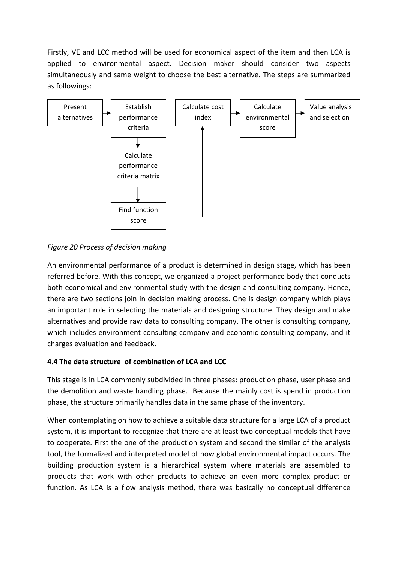Firstly, VE and LCC method will be used for economical aspect of the item and then LCA is applied to environmental aspect. Decision maker should consider two aspects simultaneously and same weight to choose the best alternative. The steps are summarized as followings:



## *Figure 20 Process of decision making*

An environmental performance of a product is determined in design stage, which has been referred before. With this concept, we organized a project performance body that conducts both economical and environmental study with the design and consulting company. Hence, there are two sections join in decision making process. One is design company which plays an important role in selecting the materials and designing structure. They design and make alternatives and provide raw data to consulting company. The other is consulting company, which includes environment consulting company and economic consulting company, and it charges evaluation and feedback.

## **4.4 The data structure of combination of LCA and LCC**

This stage is in LCA commonly subdivided in three phases: production phase, user phase and the demolition and waste handling phase. Because the mainly cost is spend in production phase, the structure primarily handles data in the same phase of the inventory.

When contemplating on how to achieve a suitable data structure for a large LCA of a product system, it is important to recognize that there are at least two conceptual models that have to cooperate. First the one of the production system and second the similar of the analysis tool, the formalized and interpreted model of how global environmental impact occurs. The building production system is a hierarchical system where materials are assembled to products that work with other products to achieve an even more complex product or function. As LCA is a flow analysis method, there was basically no conceptual difference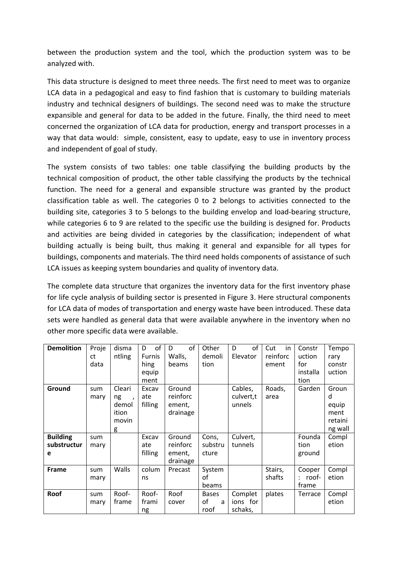between the production system and the tool, which the production system was to be analyzed with.

This data structure is designed to meet three needs. The first need to meet was to organize LCA data in a pedagogical and easy to find fashion that is customary to building materials industry and technical designers of buildings. The second need was to make the structure expansible and general for data to be added in the future. Finally, the third need to meet concerned the organization of LCA data for production, energy and transport processes in a way that data would: simple, consistent, easy to update, easy to use in inventory process and independent of goal of study.

The system consists of two tables: one table classifying the building products by the technical composition of product, the other table classifying the products by the technical function. The need for a general and expansible structure was granted by the product classification table as well. The categories 0 to 2 belongs to activities connected to the building site, categories 3 to 5 belongs to the building envelop and load‐bearing structure, while categories 6 to 9 are related to the specific use the building is designed for. Products and activities are being divided in categories by the classification; independent of what building actually is being built, thus making it general and expansible for all types for buildings, components and materials. The third need holds components of assistance of such LCA issues as keeping system boundaries and quality of inventory data.

The complete data structure that organizes the inventory data for the first inventory phase for life cycle analysis of building sector is presented in Figure 3. Here structural components for LCA data of modes of transportation and energy waste have been introduced. These data sets were handled as general data that were available anywhere in the inventory when no other more specific data were available.

| <b>Demolition</b>                   | Proje<br>ct<br>data | disma<br>ntling                                           | of<br>D<br><b>Furnis</b><br>hing<br>equip<br>ment | of<br>D<br>Walls,<br>beams               | Other<br>demoli<br>tion         | of<br>D<br>Elevator            | Cut<br>in<br>reinforc<br>ement | Constr<br>uction<br>for<br>installa<br>tion | Tempo<br>rary<br>constr<br>uction                 |
|-------------------------------------|---------------------|-----------------------------------------------------------|---------------------------------------------------|------------------------------------------|---------------------------------|--------------------------------|--------------------------------|---------------------------------------------|---------------------------------------------------|
| Ground                              | sum<br>mary         | Cleari<br>ng<br>$\lambda$<br>demol<br>ition<br>movin<br>g | Excav<br>ate<br>filling                           | Ground<br>reinforc<br>ement,<br>drainage |                                 | Cables,<br>culvert,t<br>unnels | Roads,<br>area                 | Garden                                      | Groun<br>d<br>equip<br>ment<br>retaini<br>ng wall |
| <b>Building</b><br>substructur<br>e | sum<br>mary         |                                                           | Excav<br>ate<br>filling                           | Ground<br>reinforc<br>ement,<br>drainage | Cons,<br>substru<br>cture       | Culvert,<br>tunnels            |                                | Founda<br>tion<br>ground                    | Compl<br>etion                                    |
| <b>Frame</b>                        | sum<br>mary         | Walls                                                     | colum<br>ns                                       | Precast                                  | System<br>οf<br>beams           |                                | Stairs,<br>shafts              | Cooper<br>$:$ roof-<br>frame                | Compl<br>etion                                    |
| Roof                                | sum<br>mary         | Roof-<br>frame                                            | Roof-<br>frami<br>ng                              | Roof<br>cover                            | <b>Bases</b><br>οf<br>a<br>roof | Complet<br>ions for<br>schaks, | plates                         | Terrace                                     | Compl<br>etion                                    |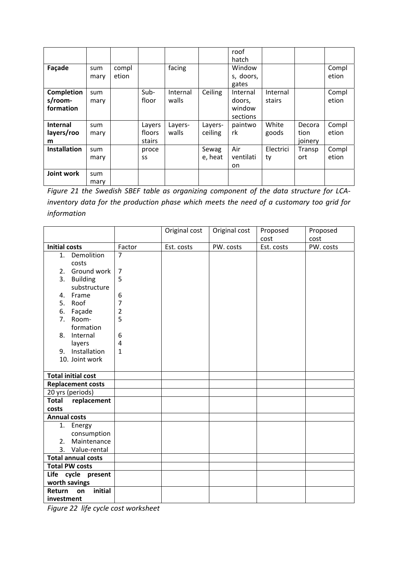|                     |      |       |        |          |         | roof            |           |         |       |
|---------------------|------|-------|--------|----------|---------|-----------------|-----------|---------|-------|
| Façade              | sum  | compl |        | facing   |         | hatch<br>Window |           |         | Compl |
|                     |      | etion |        |          |         |                 |           |         | etion |
|                     | mary |       |        |          |         | s, doors,       |           |         |       |
|                     |      |       |        |          |         | gates           |           |         |       |
| <b>Completion</b>   | sum  |       | Sub-   | Internal | Ceiling | Internal        | Internal  |         | Compl |
| s/room-             | mary |       | floor  | walls    |         | doors,          | stairs    |         | etion |
| formation           |      |       |        |          |         | window          |           |         |       |
|                     |      |       |        |          |         | sections        |           |         |       |
| Internal            | sum  |       | Layers | Layers-  | Layers- | paintwo         | White     | Decora  | Compl |
| layers/roo          | mary |       | floors | walls    | ceiling | rk              | goods     | tion    | etion |
| m                   |      |       | stairs |          |         |                 |           | joinery |       |
| <b>Installation</b> | sum  |       | proce  |          | Sewag   | Air             | Electrici | Transp  | Compl |
|                     | mary |       | SS     |          | e, heat | ventilati       | ty        | ort     | etion |
|                     |      |       |        |          |         | on.             |           |         |       |
| Joint work          | sum  |       |        |          |         |                 |           |         |       |
|                     | mary |       |        |          |         |                 |           |         |       |

*Figure 21 the Swedish SBEF table as organizing component of the data structure for LCA‐ inventory data for the production phase which meets the need of a customary too grid for information*

|                                              |                | Original cost | Original cost | Proposed   | Proposed  |
|----------------------------------------------|----------------|---------------|---------------|------------|-----------|
|                                              |                |               |               | cost       | cost      |
| <b>Initial costs</b>                         | Factor         | Est. costs    | PW. costs     | Est. costs | PW. costs |
| 1. Demolition                                | $\overline{7}$ |               |               |            |           |
| costs                                        |                |               |               |            |           |
| Ground work<br>2.                            | $\overline{7}$ |               |               |            |           |
| 3.<br><b>Building</b>                        | 5              |               |               |            |           |
| substructure                                 |                |               |               |            |           |
| Frame<br>4.                                  | 6              |               |               |            |           |
| 5.<br>Roof                                   | 7              |               |               |            |           |
| Façade<br>6.                                 | 2              |               |               |            |           |
| 7.<br>Room-                                  | 5              |               |               |            |           |
| formation                                    |                |               |               |            |           |
| Internal<br>8.                               | 6              |               |               |            |           |
| layers                                       | 4              |               |               |            |           |
| 9. Installation                              | 1              |               |               |            |           |
| 10. Joint work                               |                |               |               |            |           |
|                                              |                |               |               |            |           |
| <b>Total initial cost</b>                    |                |               |               |            |           |
| <b>Replacement costs</b>                     |                |               |               |            |           |
| 20 yrs (periods)                             |                |               |               |            |           |
| <b>Total</b><br>replacement                  |                |               |               |            |           |
| costs                                        |                |               |               |            |           |
| <b>Annual costs</b>                          |                |               |               |            |           |
| 1. Energy                                    |                |               |               |            |           |
| consumption<br>Maintenance                   |                |               |               |            |           |
| 2.                                           |                |               |               |            |           |
| 3. Value-rental<br><b>Total annual costs</b> |                |               |               |            |           |
| <b>Total PW costs</b>                        |                |               |               |            |           |
|                                              |                |               |               |            |           |
| Life cycle present<br>worth savings          |                |               |               |            |           |
| initial<br>Return<br>on                      |                |               |               |            |           |
| investment                                   |                |               |               |            |           |
|                                              |                |               |               |            |           |

*Figure 22 life cycle cost worksheet*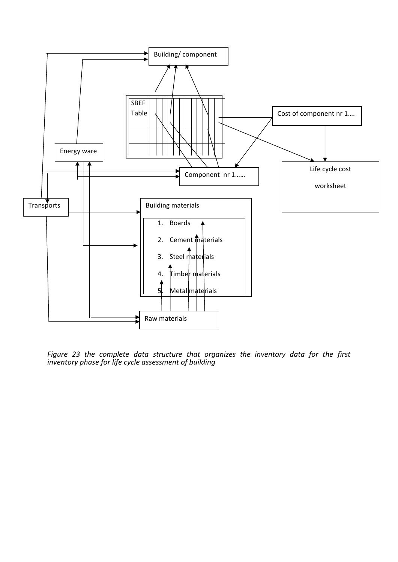

*Figure 23 the complete data structure that organizes the inventory data for the first inventory phase for life cycle assessment of building*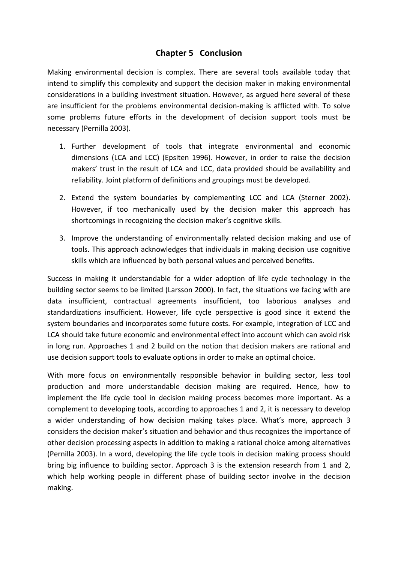# **Chapter 5 Conclusion**

Making environmental decision is complex. There are several tools available today that intend to simplify this complexity and support the decision maker in making environmental considerations in a building investment situation. However, as argued here several of these are insufficient for the problems environmental decision‐making is afflicted with. To solve some problems future efforts in the development of decision support tools must be necessary (Pernilla 2003).

- 1. Further development of tools that integrate environmental and economic dimensions (LCA and LCC) (Epsiten 1996). However, in order to raise the decision makers' trust in the result of LCA and LCC, data provided should be availability and reliability. Joint platform of definitions and groupings must be developed.
- 2. Extend the system boundaries by complementing LCC and LCA (Sterner 2002). However, if too mechanically used by the decision maker this approach has shortcomings in recognizing the decision maker's cognitive skills.
- 3. Improve the understanding of environmentally related decision making and use of tools. This approach acknowledges that individuals in making decision use cognitive skills which are influenced by both personal values and perceived benefits.

Success in making it understandable for a wider adoption of life cycle technology in the building sector seems to be limited (Larsson 2000). In fact, the situations we facing with are data insufficient, contractual agreements insufficient, too laborious analyses and standardizations insufficient. However, life cycle perspective is good since it extend the system boundaries and incorporates some future costs. For example, integration of LCC and LCA should take future economic and environmental effect into account which can avoid risk in long run. Approaches 1 and 2 build on the notion that decision makers are rational and use decision support tools to evaluate options in order to make an optimal choice.

With more focus on environmentally responsible behavior in building sector, less tool production and more understandable decision making are required. Hence, how to implement the life cycle tool in decision making process becomes more important. As a complement to developing tools, according to approaches 1 and 2, it is necessary to develop a wider understanding of how decision making takes place. What's more, approach 3 considers the decision maker's situation and behavior and thus recognizes the importance of other decision processing aspects in addition to making a rational choice among alternatives (Pernilla 2003). In a word, developing the life cycle tools in decision making process should bring big influence to building sector. Approach 3 is the extension research from 1 and 2, which help working people in different phase of building sector involve in the decision making.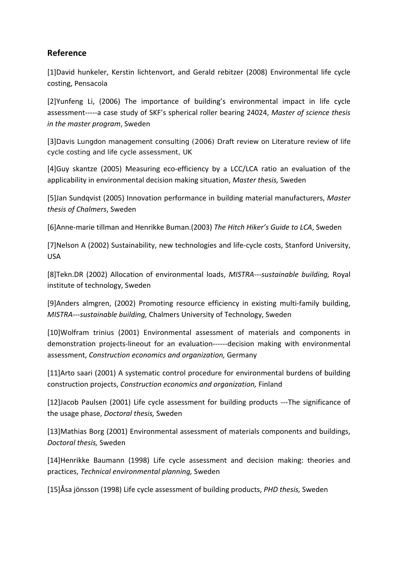# **Reference**

[1]David hunkeler, Kerstin lichtenvort, and Gerald rebitzer (2008) Environmental life cycle costing, Pensacola

[2]Yunfeng Li, (2006) The importance of building's environmental impact in life cycle assessment‐‐‐‐‐a case study of SKF's spherical roller bearing 24024, *Master of science thesis in the master program*, Sweden

[3]Davis Lungdon management consulting (2006) *Draft review on Literature review of life cycle costing and life cycle assessment,* UK

[4]Guy skantze (2005) Measuring eco‐efficiency by a LCC/LCA ratio an evaluation of the applicability in environmental decision making situation, *Master thesis,* Sweden

[5]Jan Sundqvist (2005) Innovation performance in building material manufacturers, *Master thesis of Chalmers*, Sweden

[6]Anne‐marie tillman and Henrikke Buman.(2003) *The Hitch Hiker's Guide to LCA*, Sweden

[7]Nelson A (2002) Sustainability, new technologies and life‐cycle costs, Stanford University, USA

[8]Tekn.DR (2002) Allocation of environmental loads, *MISTRA‐‐‐sustainable building,* Royal institute of technology, Sweden

[9]Anders almgren, (2002) Promoting resource efficiency in existing multi‐family building, *MISTRA‐‐‐sustainable building,* Chalmers University of Technology, Sweden

[10]Wolfram trinius (2001) Environmental assessment of materials and components in demonstration projects‐lineout for an evaluation‐‐‐‐‐‐decision making with environmental assessment, *Construction economics and organization,* Germany

[11]Arto saari (2001) A systematic control procedure for environmental burdens of building construction projects, *Construction economics and organization,* Finland

[12]Jacob Paulsen (2001) Life cycle assessment for building products ‐‐‐The significance of the usage phase, *Doctoral thesis,* Sweden

[13]Mathias Borg (2001) Environmental assessment of materials components and buildings, *Doctoral thesis,* Sweden

[14]Henrikke Baumann (1998) Life cycle assessment and decision making: theories and practices, *Technical environmental planning,* Sweden

[15]Åsa jönsson (1998) Life cycle assessment of building products, *PHD thesis,* Sweden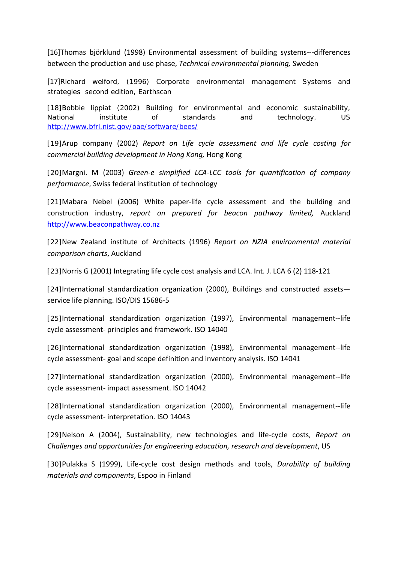[16]Thomas björklund (1998) Environmental assessment of building systems‐‐‐differences between the production and use phase, *Technical environmental planning,* Sweden

[17]Richard welford, (1996) *Corporate environmental management Systems and strategies* second edition, Earthscan

[18]Bobbie lippiat (2002) Building for environmental and economic sustainability, National institute of standards and technology, US <http://www.bfrl.nist.gov/oae/software/bees/>

[19]Arup company (2002) *Report on Life cycle assessment and life cycle costing for commercial building development in Hong Kong,* Hong Kong

[20]Margni. M (2003) *Green‐e simplified LCA‐LCC tools for quantification of company performance*, Swiss federal institution of technology

[21]Mabara Nebel (2006) White paper-life cycle assessment and the building and construction industry, *report on prepared for beacon pathway limited,* Auckland [http://www.beaconpathway.co.nz](http://www.beaconpathway.co.nz/)

[22]New Zealand institute of Architects (1996) *Report on NZIA environmental material comparison charts*, Auckland

[23]Norris G (2001) Integrating life cycle cost analysis and LCA. Int. J. LCA 6 (2) 118‐121

[24]International standardization organization (2000), Buildings and constructed assets service life planning. ISO/DIS 15686‐5

[25]International standardization organization (1997), Environmental management--life cycle assessment‐ principles and framework. ISO 14040

[26]International standardization organization (1998), Environmental management--life cycle assessment‐ goal and scope definition and inventory analysis. ISO 14041

[27]International standardization organization (2000), Environmental management--life cycle assessment‐ impact assessment. ISO 14042

[28]International standardization organization (2000), Environmental management‐‐life cycle assessment‐ interpretation. ISO 14043

[29]Nelson A (2004), Sustainability, new technologies and life‐cycle costs, *Report on Challenges and opportunities for engineering education, research and development*, US

[30]Pulakka S (1999), Life‐cycle cost design methods and tools, *Durability of building materials and components*, Espoo in Finland